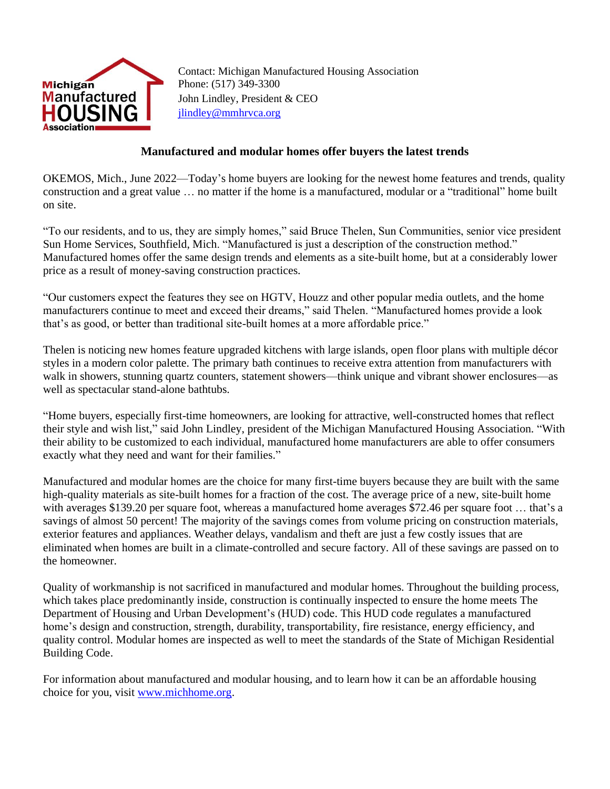

Contact: Michigan Manufactured Housing Association Phone: (517) 349-3300 John Lindley, President & CEO [jlindley@mmhrvca.org](mailto:jlindley@mmhrvca.org)

## **Manufactured and modular homes offer buyers the latest trends**

OKEMOS, Mich., June 2022—Today's home buyers are looking for the newest home features and trends, quality construction and a great value … no matter if the home is a manufactured, modular or a "traditional" home built on site.

"To our residents, and to us, they are simply homes," said Bruce Thelen, Sun Communities, senior vice president Sun Home Services, Southfield, Mich. "Manufactured is just a description of the construction method." Manufactured homes offer the same design trends and elements as a site-built home, but at a considerably lower price as a result of money-saving construction practices.

"Our customers expect the features they see on HGTV, Houzz and other popular media outlets, and the home manufacturers continue to meet and exceed their dreams," said Thelen. "Manufactured homes provide a look that's as good, or better than traditional site-built homes at a more affordable price."

Thelen is noticing new homes feature upgraded kitchens with large islands, open floor plans with multiple décor styles in a modern color palette. The primary bath continues to receive extra attention from manufacturers with walk in showers, stunning quartz counters, statement showers—think unique and vibrant shower enclosures—as well as spectacular stand-alone bathtubs.

"Home buyers, especially first-time homeowners, are looking for attractive, well-constructed homes that reflect their style and wish list," said John Lindley, president of the Michigan Manufactured Housing Association. "With their ability to be customized to each individual, manufactured home manufacturers are able to offer consumers exactly what they need and want for their families."

Manufactured and modular homes are the choice for many first-time buyers because they are built with the same high-quality materials as site-built homes for a fraction of the cost. The average price of a new, site-built home with averages \$139.20 per square foot, whereas a manufactured home averages \$72.46 per square foot … that's a savings of almost 50 percent! The majority of the savings comes from volume pricing on construction materials, exterior features and appliances. Weather delays, vandalism and theft are just a few costly issues that are eliminated when homes are built in a climate-controlled and secure factory. All of these savings are passed on to the homeowner.

Quality of workmanship is not sacrificed in manufactured and modular homes. Throughout the building process, which takes place predominantly inside, construction is continually inspected to ensure the home meets The Department of Housing and Urban Development's (HUD) code. This HUD code regulates a manufactured home's design and construction, strength, durability, transportability, fire resistance, energy efficiency, and quality control. Modular homes are inspected as well to meet the standards of the State of Michigan Residential Building Code.

For information about manufactured and modular housing, and to learn how it can be an affordable housing choice for you, visit [www.michhome.org.](http://www.michhome.org/)